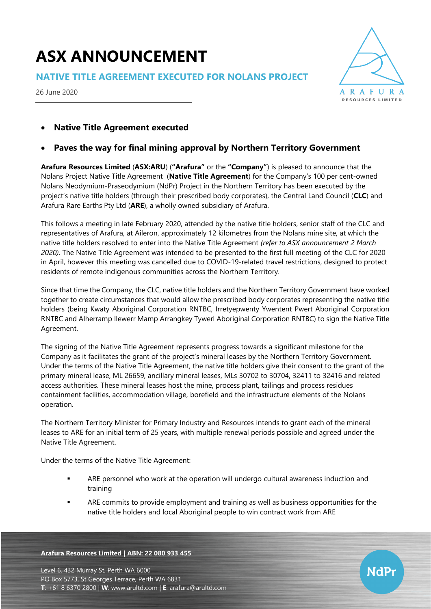# **ASX ANNOUNCEMENT**

**NATIVE TITLE AGREEMENT EXECUTED FOR NOLANS PROJECT**

26 June 2020



**NdPr** 

# • **Native Title Agreement executed**

## • **Paves the way for final mining approval by Northern Territory Government**

**Arafura Resources Limited** (**ASX:ARU**) (**"Arafura"** or the **"Company"**) is pleased to announce that the Nolans Project Native Title Agreement (**Native Title Agreement**) for the Company's 100 per cent-owned Nolans Neodymium-Praseodymium (NdPr) Project in the Northern Territory has been executed by the project's native title holders (through their prescribed body corporates), the Central Land Council (**CLC**) and Arafura Rare Earths Pty Ltd (**ARE**), a wholly owned subsidiary of Arafura.

This follows a meeting in late February 2020, attended by the native title holders, senior staff of the CLC and representatives of Arafura, at Aileron, approximately 12 kilometres from the Nolans mine site, at which the native title holders resolved to enter into the Native Title Agreement *(refer to ASX announcement 2 March 2020)*. The Native Title Agreement was intended to be presented to the first full meeting of the CLC for 2020 in April, however this meeting was cancelled due to COVID-19-related travel restrictions, designed to protect residents of remote indigenous communities across the Northern Territory.

Since that time the Company, the CLC, native title holders and the Northern Territory Government have worked together to create circumstances that would allow the prescribed body corporates representing the native title holders (being Kwaty Aboriginal Corporation RNTBC, Irretyepwenty Ywentent Pwert Aboriginal Corporation RNTBC and Alherramp Ilewerr Mamp Arrangkey Tywerl Aboriginal Corporation RNTBC) to sign the Native Title Agreement.

The signing of the Native Title Agreement represents progress towards a significant milestone for the Company as it facilitates the grant of the project's mineral leases by the Northern Territory Government. Under the terms of the Native Title Agreement, the native title holders give their consent to the grant of the primary mineral lease, ML 26659, ancillary mineral leases, MLs 30702 to 30704, 32411 to 32416 and related access authorities. These mineral leases host the mine, process plant, tailings and process residues containment facilities, accommodation village, borefield and the infrastructure elements of the Nolans operation.

The Northern Territory Minister for Primary Industry and Resources intends to grant each of the mineral leases to ARE for an initial term of 25 years, with multiple renewal periods possible and agreed under the Native Title Agreement.

Under the terms of the Native Title Agreement:

- ARE personnel who work at the operation will undergo cultural awareness induction and training
- ARE commits to provide employment and training as well as business opportunities for the native title holders and local Aboriginal people to win contract work from ARE

#### **Arafura Resources Limited | ABN: 22 080 933 455**